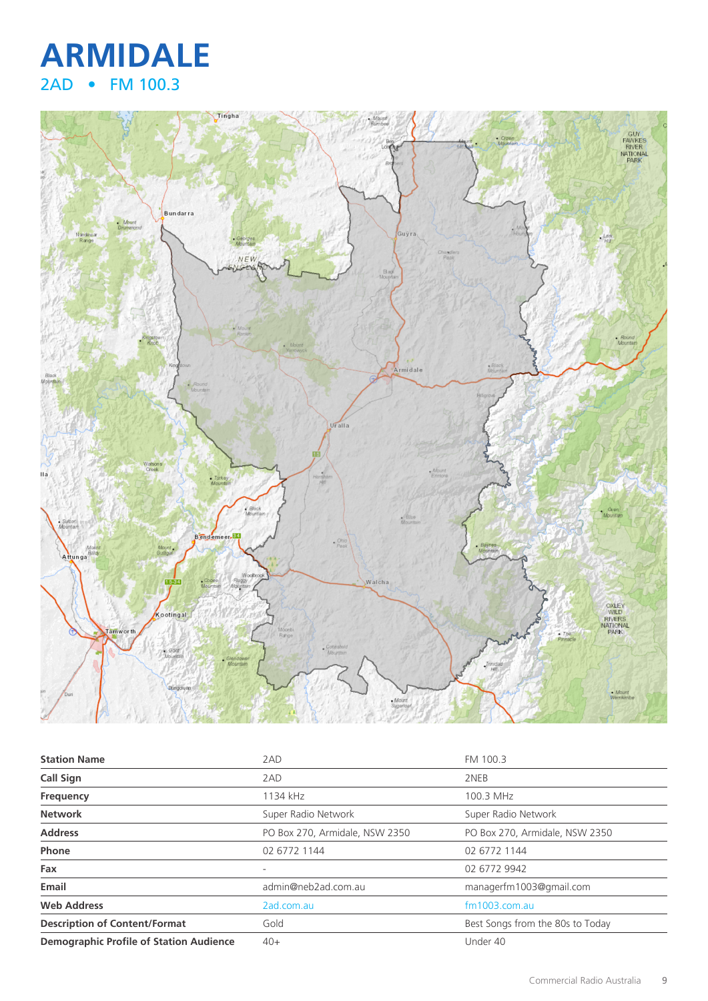



| <b>Station Name</b>                            | 2AD                            | FM 100.3                         |
|------------------------------------------------|--------------------------------|----------------------------------|
| <b>Call Sign</b>                               | 2AD                            | 2NEB                             |
| Frequency                                      | 1134 kHz                       | 100.3 MHz                        |
| <b>Network</b>                                 | Super Radio Network            | Super Radio Network              |
| <b>Address</b>                                 | PO Box 270, Armidale, NSW 2350 | PO Box 270, Armidale, NSW 2350   |
| Phone                                          | 02 6772 1144                   | 02 6772 1144                     |
| Fax                                            |                                | 02 6772 9942                     |
| Email                                          | admin@neb2ad.com.au            | managerfm1003@gmail.com          |
| <b>Web Address</b>                             | 2ad.com.au                     | $fm1003$ .com.au                 |
| <b>Description of Content/Format</b>           | Gold                           | Best Songs from the 80s to Today |
| <b>Demographic Profile of Station Audience</b> | $40+$                          | Under 40                         |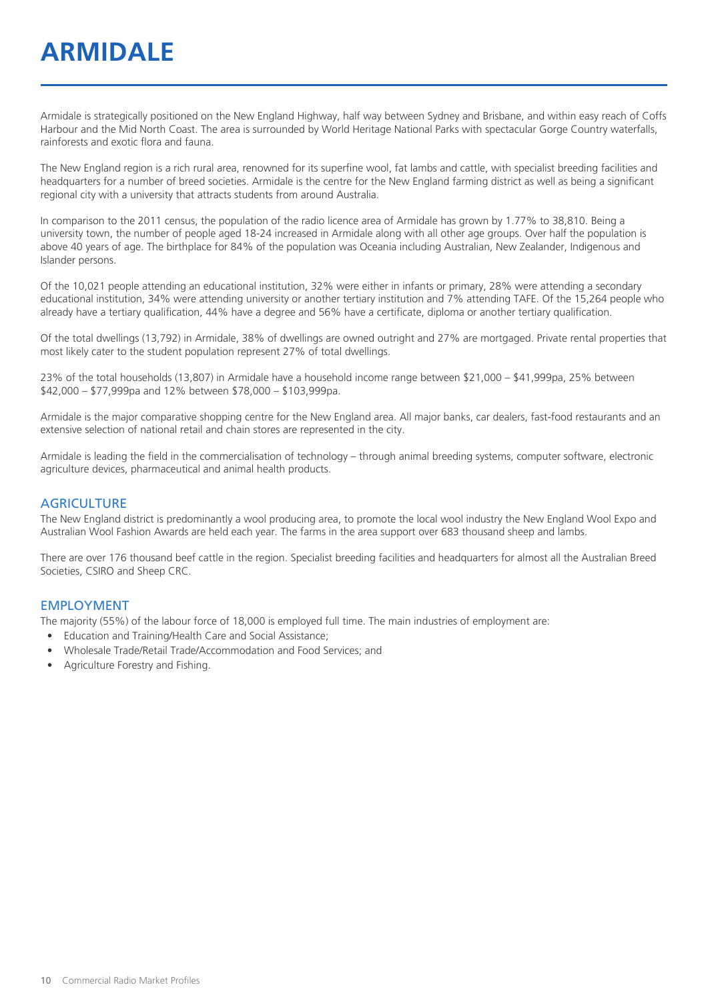# **ARMIDALE**

Armidale is strategically positioned on the New England Highway, half way between Sydney and Brisbane, and within easy reach of Coffs Harbour and the Mid North Coast. The area is surrounded by World Heritage National Parks with spectacular Gorge Country waterfalls, rainforests and exotic flora and fauna.

The New England region is a rich rural area, renowned for its superfine wool, fat lambs and cattle, with specialist breeding facilities and headquarters for a number of breed societies. Armidale is the centre for the New England farming district as well as being a significant regional city with a university that attracts students from around Australia.

In comparison to the 2011 census, the population of the radio licence area of Armidale has grown by 1.77% to 38,810. Being a university town, the number of people aged 18-24 increased in Armidale along with all other age groups. Over half the population is above 40 years of age. The birthplace for 84% of the population was Oceania including Australian, New Zealander, Indigenous and Islander persons.

Of the 10,021 people attending an educational institution, 32% were either in infants or primary, 28% were attending a secondary educational institution, 34% were attending university or another tertiary institution and 7% attending TAFE. Of the 15,264 people who already have a tertiary qualification, 44% have a degree and 56% have a certificate, diploma or another tertiary qualification.

Of the total dwellings (13,792) in Armidale, 38% of dwellings are owned outright and 27% are mortgaged. Private rental properties that most likely cater to the student population represent 27% of total dwellings.

23% of the total households (13,807) in Armidale have a household income range between \$21,000 – \$41,999pa, 25% between \$42,000 – \$77,999pa and 12% between \$78,000 – \$103,999pa.

Armidale is the major comparative shopping centre for the New England area. All major banks, car dealers, fast-food restaurants and an extensive selection of national retail and chain stores are represented in the city.

Armidale is leading the field in the commercialisation of technology – through animal breeding systems, computer software, electronic agriculture devices, pharmaceutical and animal health products.

#### **AGRICULTURE**

The New England district is predominantly a wool producing area, to promote the local wool industry the New England Wool Expo and Australian Wool Fashion Awards are held each year. The farms in the area support over 683 thousand sheep and lambs.

There are over 176 thousand beef cattle in the region. Specialist breeding facilities and headquarters for almost all the Australian Breed Societies, CSIRO and Sheep CRC.

#### EMPLOYMENT

The majority (55%) of the labour force of 18,000 is employed full time. The main industries of employment are:

- Education and Training/Health Care and Social Assistance;
- Wholesale Trade/Retail Trade/Accommodation and Food Services; and
- Agriculture Forestry and Fishing.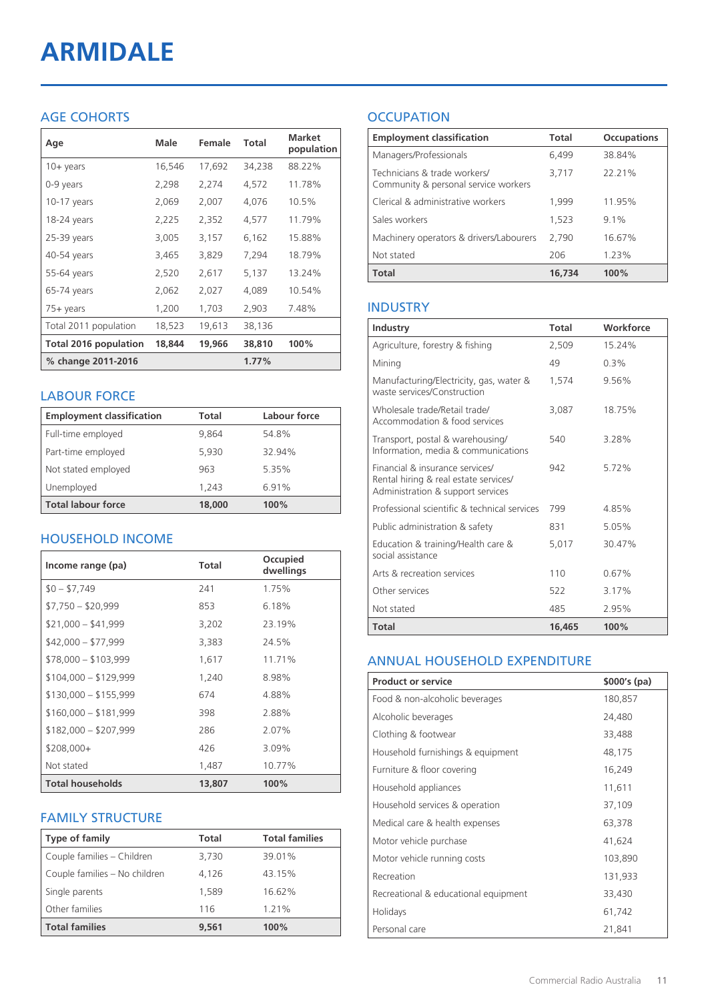# **ARMIDALE**

# AGE COHORTS

| Age                   | <b>Male</b> | Female | <b>Total</b> | <b>Market</b><br>population |
|-----------------------|-------------|--------|--------------|-----------------------------|
| $10 + \gamma$ ears    | 16,546      | 17,692 | 34,238       | 88.22%                      |
| 0-9 years             | 2,298       | 2,274  | 4,572        | 11.78%                      |
| $10-17$ years         | 2,069       | 2,007  | 4,076        | 10.5%                       |
| 18-24 years           | 2,225       | 2,352  | 4,577        | 11.79%                      |
| 25-39 years           | 3,005       | 3,157  | 6,162        | 15.88%                      |
| 40-54 years           | 3,465       | 3,829  | 7,294        | 18.79%                      |
| 55-64 years           | 2,520       | 2,617  | 5,137        | 13.24%                      |
| 65-74 years           | 2,062       | 2,027  | 4,089        | 10.54%                      |
| $75+$ years           | 1,200       | 1,703  | 2,903        | 7.48%                       |
| Total 2011 population | 18,523      | 19,613 | 38,136       |                             |
| Total 2016 population | 18,844      | 19,966 | 38,810       | 100%                        |
| % change 2011-2016    |             |        | 1.77%        |                             |

#### LABOUR FORCE

| <b>Employment classification</b> | Total  | Labour force |
|----------------------------------|--------|--------------|
| Full-time employed               | 9.864  | 54.8%        |
| Part-time employed               | 5,930  | 32.94%       |
| Not stated employed              | 963    | 5.35%        |
| Unemployed                       | 1.243  | 6.91%        |
| <b>Total labour force</b>        | 18,000 | 100%         |

## HOUSEHOLD INCOME

| Income range (pa)       | Total  | Occupied<br>dwellings |
|-------------------------|--------|-----------------------|
| $$0 - $7,749$           | 241    | 1.75%                 |
| $$7,750 - $20,999$      | 853    | 6.18%                 |
| $$21,000 - $41,999$     | 3,202  | 23.19%                |
| $$42,000 - $77,999$     | 3,383  | 24.5%                 |
| $$78,000 - $103,999$    | 1,617  | 11.71%                |
| $$104,000 - $129,999$   | 1,240  | 8.98%                 |
| $$130,000 - $155,999$   | 674    | 4.88%                 |
| $$160,000 - $181,999$   | 398    | 2.88%                 |
| $$182,000 - $207,999$   | 286    | 2.07%                 |
| \$208,000+              | 426    | 3.09%                 |
| Not stated              | 1,487  | 10.77%                |
| <b>Total households</b> | 13,807 | 100%                  |

## FAMILY STRUCTURE

| <b>Type of family</b>         | <b>Total</b> | <b>Total families</b> |
|-------------------------------|--------------|-----------------------|
| Couple families - Children    | 3,730        | 39.01%                |
| Couple families - No children | 4.126        | 43.15%                |
| Single parents                | 1.589        | 16.62%                |
| Other families                | 116          | 1.21%                 |
| <b>Total families</b>         | 9.561        | 100%                  |

# **OCCUPATION**

| <b>Employment classification</b>                                     | Total  | <b>Occupations</b> |
|----------------------------------------------------------------------|--------|--------------------|
| Managers/Professionals                                               | 6,499  | 38.84%             |
| Technicians & trade workers/<br>Community & personal service workers | 3,717  | 22.21%             |
| Clerical & administrative workers                                    | 1,999  | 11.95%             |
| Sales workers                                                        | 1,523  | 91%                |
| Machinery operators & drivers/Labourers                              | 2,790  | 16.67%             |
| Not stated                                                           | 206    | 1.23%              |
| <b>Total</b>                                                         | 16,734 | 100%               |

#### INDUSTRY

| Industry                                                                                                      | Total  | Workforce |
|---------------------------------------------------------------------------------------------------------------|--------|-----------|
| Agriculture, forestry & fishing                                                                               | 2,509  | 15.24%    |
| Mining                                                                                                        | 49     | 0.3%      |
| Manufacturing/Electricity, gas, water &<br>waste services/Construction                                        | 1,574  | 9.56%     |
| Wholesale trade/Retail trade/<br>Accommodation & food services                                                | 3,087  | 18.75%    |
| Transport, postal & warehousing/<br>Information, media & communications                                       | 540    | 3.28%     |
| Financial & insurance services/<br>Rental hiring & real estate services/<br>Administration & support services | 942    | 5.72%     |
| Professional scientific & technical services                                                                  | 799    | 4.85%     |
| Public administration & safety                                                                                | 831    | 5.05%     |
| Education & training/Health care &<br>social assistance                                                       | 5.017  | 30.47%    |
| Arts & recreation services                                                                                    | 110    | 0.67%     |
| Other services                                                                                                | 522    | 3.17%     |
| Not stated                                                                                                    | 485    | 2.95%     |
| Total                                                                                                         | 16,465 | 100%      |

#### ANNUAL HOUSEHOLD EXPENDITURE

| <b>Product or service</b>            | $$000's$ (pa) |
|--------------------------------------|---------------|
| Food & non-alcoholic beverages       | 180,857       |
| Alcoholic beverages                  | 24,480        |
| Clothing & footwear                  | 33,488        |
| Household furnishings & equipment    | 48,175        |
| Furniture & floor covering           | 16,249        |
| Household appliances                 | 11,611        |
| Household services & operation       | 37,109        |
| Medical care & health expenses       | 63,378        |
| Motor vehicle purchase               | 41,624        |
| Motor vehicle running costs          | 103,890       |
| Recreation                           | 131,933       |
| Recreational & educational equipment | 33,430        |
| Holidays                             | 61,742        |
| Personal care                        | 21,841        |